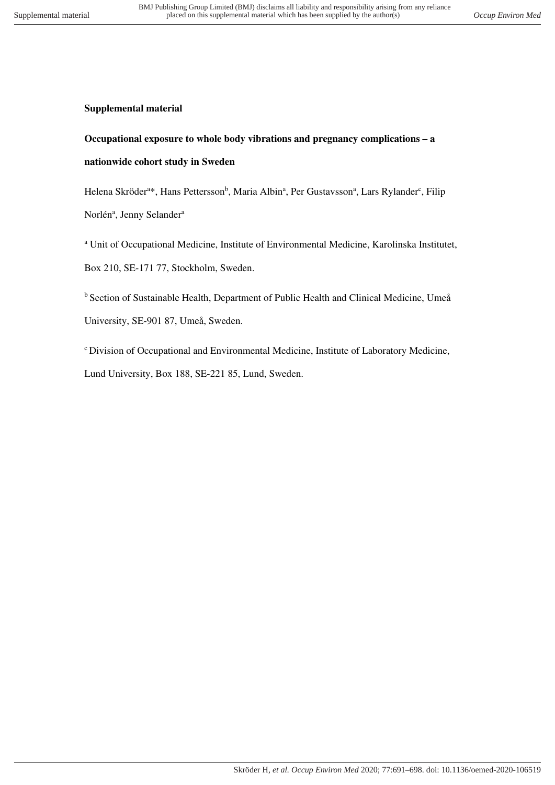## **Supplemental material**

## **Occupational exposure to whole body vibrations and pregnancy complications – a nationwide cohort study in Sweden**

Helena Skröder<sup>a\*</sup>, Hans Pettersson<sup>b</sup>, Maria Albin<sup>a</sup>, Per Gustavsson<sup>a</sup>, Lars Rylander<sup>c</sup>, Filip Norlén<sup>a</sup>, Jenny Selander<sup>a</sup>

<sup>a</sup> Unit of Occupational Medicine, Institute of Environmental Medicine, Karolinska Institutet, Box 210, SE-171 77, Stockholm, Sweden.

<sup>b</sup> Section of Sustainable Health, Department of Public Health and Clinical Medicine, Umeå University, SE-901 87, Umeå, Sweden.

<sup>c</sup> Division of Occupational and Environmental Medicine, Institute of Laboratory Medicine, Lund University, Box 188, SE-221 85, Lund, Sweden.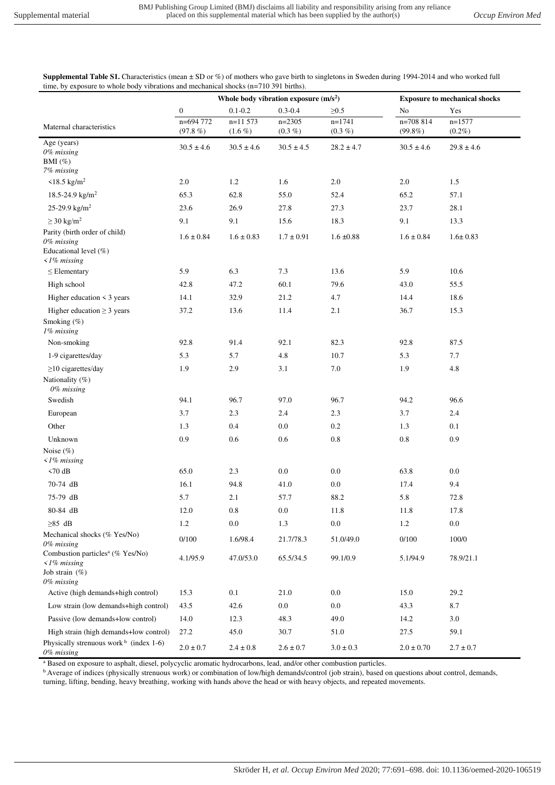**Supplemental Table S1.** Characteristics (mean  $\pm$  SD or %) of mothers who gave birth to singletons in Sweden during 1994-2014 and who worked full time, by exposure to whole body vibrations and mechanical shocks (n=710 391 births).

|                                                                                               |                     | Whole body vibration exposure $(m/s2)$ |                       | <b>Exposure to mechanical shocks</b> |                         |                       |
|-----------------------------------------------------------------------------------------------|---------------------|----------------------------------------|-----------------------|--------------------------------------|-------------------------|-----------------------|
|                                                                                               | $\mathbf{0}$        | $0.1 - 0.2$                            | $0.3 - 0.4$           | $\geq 0.5$                           | No                      | Yes                   |
| Maternal characteristics                                                                      | n=694 772<br>(97.8% | $n=11573$<br>$(1.6\%)$                 | $n=2305$<br>$(0.3\%)$ | $n=1741$<br>$(0.3\%)$                | n=708 814<br>$(99.8\%)$ | $n=1577$<br>$(0.2\%)$ |
| Age (years)<br>0% missing<br>BMI $(\%)$<br>7% missing                                         | $30.5 \pm 4.6$      | $30.5 \pm 4.6$                         | $30.5 \pm 4.5$        | $28.2 \pm 4.7$                       | $30.5 \pm 4.6$          | $29.8 \pm 4.6$        |
| $\leq$ 18.5 kg/m <sup>2</sup>                                                                 | $2.0\,$             | 1.2                                    | 1.6                   | $2.0\,$                              | 2.0                     | 1.5                   |
| 18.5-24.9 $\text{kg/m}^2$                                                                     | 65.3                | 62.8                                   | 55.0                  | 52.4                                 | 65.2                    | 57.1                  |
| 25-29.9 $\text{kg/m}^2$                                                                       | 23.6                | 26.9                                   | 27.8                  | 27.3                                 | 23.7                    | 28.1                  |
| $\geq$ 30 kg/m <sup>2</sup>                                                                   | 9.1                 | 9.1                                    | 15.6                  | 18.3                                 | 9.1                     | 13.3                  |
| Parity (birth order of child)<br>0% missing                                                   | $1.6 \pm 0.84$      | $1.6 \pm 0.83$                         | $1.7 \pm 0.91$        | $1.6 \pm 0.88$                       | $1.6 \pm 0.84$          | $1.6 \pm 0.83$        |
| Educational level (%)<br>$\langle$ 1% missing                                                 |                     |                                        |                       |                                      |                         |                       |
| $\leq$ Elementary                                                                             | 5.9                 | 6.3                                    | 7.3                   | 13.6                                 | 5.9                     | $10.6\,$              |
| High school                                                                                   | 42.8                | 47.2                                   | 60.1                  | 79.6                                 | 43.0                    | 55.5                  |
| Higher education $\leq$ 3 years                                                               | 14.1                | 32.9                                   | 21.2                  | 4.7                                  | 14.4                    | 18.6                  |
| Higher education $\geq$ 3 years<br>Smoking (%)<br>1% missing                                  | 37.2                | 13.6                                   | 11.4                  | 2.1                                  | 36.7                    | 15.3                  |
| Non-smoking                                                                                   | 92.8                | 91.4                                   | 92.1                  | 82.3                                 | 92.8                    | 87.5                  |
| 1-9 cigarettes/day                                                                            | 5.3                 | 5.7                                    | 4.8                   | 10.7                                 | 5.3                     | 7.7                   |
| $\geq$ 10 cigarettes/day                                                                      | 1.9                 | 2.9                                    | 3.1                   | $7.0\,$                              | 1.9                     | 4.8                   |
| Nationality (%)<br>0% missing                                                                 |                     |                                        |                       |                                      |                         |                       |
| Swedish                                                                                       | 94.1                | 96.7                                   | 97.0                  | 96.7                                 | 94.2                    | 96.6                  |
| European                                                                                      | 3.7                 | 2.3                                    | 2.4                   | 2.3                                  | 3.7                     | 2.4                   |
| Other                                                                                         | 1.3                 | 0.4                                    | $0.0\,$               | $0.2\,$                              | 1.3                     | 0.1                   |
| Unknown                                                                                       | 0.9                 | 0.6                                    | $0.6\,$               | $\rm 0.8$                            | 0.8                     | 0.9                   |
| Noise $(\% )$<br>$\langle$ 1% missing                                                         |                     |                                        |                       |                                      |                         |                       |
| $< 70$ dB                                                                                     | 65.0                | 2.3                                    | $0.0\,$               | $0.0\,$                              | 63.8                    | $0.0\,$               |
| 70-74 dB                                                                                      | 16.1                | 94.8                                   | 41.0                  | $0.0\,$                              | 17.4                    | 9.4                   |
| 75-79 dB                                                                                      | 5.7                 | 2.1                                    | 57.7                  | 88.2                                 | 5.8                     | 72.8                  |
| 80-84 dB                                                                                      | 12.0                | $\rm 0.8$                              | $0.0\,$               | $11.8\,$                             | 11.8                    | 17.8                  |
| $\geq$ 85 dB                                                                                  | 1.2                 | 0.0                                    | 1.3                   | 0.0                                  | 1.2                     | 0.0                   |
| Mechanical shocks (% Yes/No)<br>$0\%$ missing<br>Combustion particles <sup>a</sup> (% Yes/No) | 0/100               | 1.6/98.4                               | 21.7/78.3             | 51.0/49.0                            | 0/100                   | 100/0                 |
| $\langle$ 1% missing<br>Job strain (%)                                                        | 4.1/95.9            | 47.0/53.0                              | 65.5/34.5             | 99.1/0.9                             | 5.1/94.9                | 78.9/21.1             |
| 0% missing<br>Active (high demands+high control)                                              | 15.3                | 0.1                                    | 21.0                  | 0.0                                  | 15.0                    | 29.2                  |
| Low strain (low demands+high control)                                                         | 43.5                | 42.6                                   | 0.0                   | 0.0                                  | 43.3                    | 8.7                   |
| Passive (low demands+low control)                                                             | 14.0                | 12.3                                   | 48.3                  | 49.0                                 | 14.2                    | 3.0                   |
| High strain (high demands+low control)                                                        | 27.2                | 45.0                                   | 30.7                  | 51.0                                 | 27.5                    | 59.1                  |
| Physically strenuous work $b$ (index 1-6)<br>0% missing                                       | $2.0 \pm 0.7$       | $2.4 \pm 0.8$                          | $2.6 \pm 0.7$         | $3.0 \pm 0.3$                        | $2.0 \pm 0.70$          | $2.7 \pm 0.7$         |

a Based on exposure to asphalt, diesel, polycyclic aromatic hydrocarbons, lead, and/or other combustion particles.

<sup>b</sup> Average of indices (physically strenuous work) or combination of low/high demands/control (job strain), based on questions about control, demands,

turning, lifting, bending, heavy breathing, working with hands above the head or with heavy objects, and repeated movements.